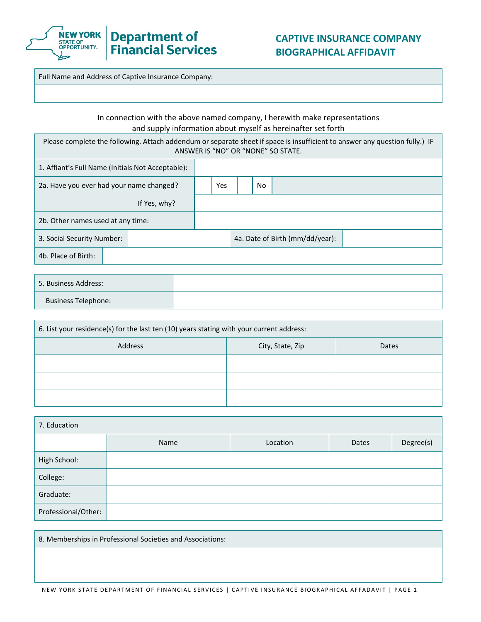

Full Name and Address of Captive Insurance Company:

## In connection with the above named company, I herewith make representations and supply information about myself as hereinafter set forth

Please complete the following. Attach addendum or separate sheet if space is insufficient to answer any question fully.) IF ANSWER IS "NO" OR "NONE" SO STATE.

| 1. Affiant's Full Name (Initials Not Acceptable): |  |              |  |     |     |                                 |  |
|---------------------------------------------------|--|--------------|--|-----|-----|---------------------------------|--|
| 2a. Have you ever had your name changed?          |  |              |  | Yes | No. |                                 |  |
|                                                   |  | If Yes, why? |  |     |     |                                 |  |
| 2b. Other names used at any time:                 |  |              |  |     |     |                                 |  |
| 3. Social Security Number:                        |  |              |  |     |     | 4a. Date of Birth (mm/dd/year): |  |
| 4b. Place of Birth:                               |  |              |  |     |     |                                 |  |

| 5. Business Address:       |  |
|----------------------------|--|
| <b>Business Telephone:</b> |  |

| 6. List your residence(s) for the last ten (10) years stating with your current address: |                  |       |
|------------------------------------------------------------------------------------------|------------------|-------|
| Address                                                                                  | City, State, Zip | Dates |
|                                                                                          |                  |       |
|                                                                                          |                  |       |
|                                                                                          |                  |       |

| 7. Education        |      |          |       |           |
|---------------------|------|----------|-------|-----------|
|                     | Name | Location | Dates | Degree(s) |
| High School:        |      |          |       |           |
| College:            |      |          |       |           |
| Graduate:           |      |          |       |           |
| Professional/Other: |      |          |       |           |

8. Memberships in Professional Societies and Associations: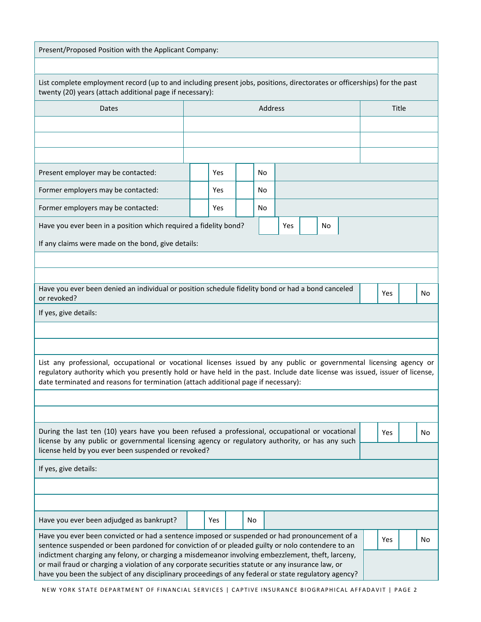| Present/Proposed Position with the Applicant Company:                                                                                                                                                                                                                                                                                    |  |            |  |         |  |  |  |     |  |       |     |  |     |
|------------------------------------------------------------------------------------------------------------------------------------------------------------------------------------------------------------------------------------------------------------------------------------------------------------------------------------------|--|------------|--|---------|--|--|--|-----|--|-------|-----|--|-----|
|                                                                                                                                                                                                                                                                                                                                          |  |            |  |         |  |  |  |     |  |       |     |  |     |
| List complete employment record (up to and including present jobs, positions, directorates or officerships) for the past<br>twenty (20) years (attach additional page if necessary):                                                                                                                                                     |  |            |  |         |  |  |  |     |  |       |     |  |     |
| Dates                                                                                                                                                                                                                                                                                                                                    |  |            |  | Address |  |  |  |     |  | Title |     |  |     |
|                                                                                                                                                                                                                                                                                                                                          |  |            |  |         |  |  |  |     |  |       |     |  |     |
|                                                                                                                                                                                                                                                                                                                                          |  |            |  |         |  |  |  |     |  |       |     |  |     |
|                                                                                                                                                                                                                                                                                                                                          |  |            |  |         |  |  |  |     |  |       |     |  |     |
| Present employer may be contacted:                                                                                                                                                                                                                                                                                                       |  | Yes        |  | No      |  |  |  |     |  |       |     |  |     |
| Former employers may be contacted:                                                                                                                                                                                                                                                                                                       |  | <b>Yes</b> |  | No      |  |  |  |     |  |       |     |  |     |
| Former employers may be contacted:<br><b>Yes</b><br>No                                                                                                                                                                                                                                                                                   |  |            |  |         |  |  |  |     |  |       |     |  |     |
| Have you ever been in a position which required a fidelity bond?<br>Yes<br>No                                                                                                                                                                                                                                                            |  |            |  |         |  |  |  |     |  |       |     |  |     |
| If any claims were made on the bond, give details:                                                                                                                                                                                                                                                                                       |  |            |  |         |  |  |  |     |  |       |     |  |     |
|                                                                                                                                                                                                                                                                                                                                          |  |            |  |         |  |  |  |     |  |       |     |  |     |
|                                                                                                                                                                                                                                                                                                                                          |  |            |  |         |  |  |  |     |  |       |     |  |     |
| Have you ever been denied an individual or position schedule fidelity bond or had a bond canceled<br><b>Yes</b><br>No<br>or revoked?                                                                                                                                                                                                     |  |            |  |         |  |  |  |     |  |       |     |  |     |
| If yes, give details:                                                                                                                                                                                                                                                                                                                    |  |            |  |         |  |  |  |     |  |       |     |  |     |
|                                                                                                                                                                                                                                                                                                                                          |  |            |  |         |  |  |  |     |  |       |     |  |     |
|                                                                                                                                                                                                                                                                                                                                          |  |            |  |         |  |  |  |     |  |       |     |  |     |
| List any professional, occupational or vocational licenses issued by any public or governmental licensing agency or<br>regulatory authority which you presently hold or have held in the past. Include date license was issued, issuer of license,<br>date terminated and reasons for termination (attach additional page if necessary): |  |            |  |         |  |  |  |     |  |       |     |  |     |
|                                                                                                                                                                                                                                                                                                                                          |  |            |  |         |  |  |  |     |  |       |     |  |     |
|                                                                                                                                                                                                                                                                                                                                          |  |            |  |         |  |  |  |     |  |       |     |  |     |
| During the last ten (10) years have you been refused a professional, occupational or vocational<br>license by any public or governmental licensing agency or regulatory authority, or has any such                                                                                                                                       |  |            |  |         |  |  |  | Yes |  | No.   |     |  |     |
| license held by you ever been suspended or revoked?                                                                                                                                                                                                                                                                                      |  |            |  |         |  |  |  |     |  |       |     |  |     |
| If yes, give details:                                                                                                                                                                                                                                                                                                                    |  |            |  |         |  |  |  |     |  |       |     |  |     |
|                                                                                                                                                                                                                                                                                                                                          |  |            |  |         |  |  |  |     |  |       |     |  |     |
|                                                                                                                                                                                                                                                                                                                                          |  |            |  |         |  |  |  |     |  |       |     |  |     |
| Have you ever been adjudged as bankrupt?                                                                                                                                                                                                                                                                                                 |  | Yes        |  | No      |  |  |  |     |  |       |     |  |     |
| Have you ever been convicted or had a sentence imposed or suspended or had pronouncement of a<br>sentence suspended or been pardoned for conviction of or pleaded guilty or nolo contendere to an                                                                                                                                        |  |            |  |         |  |  |  |     |  |       | Yes |  | No. |
| indictment charging any felony, or charging a misdemeanor involving embezzlement, theft, larceny,<br>or mail fraud or charging a violation of any corporate securities statute or any insurance law, or<br>have you been the subject of any disciplinary proceedings of any federal or state regulatory agency?                          |  |            |  |         |  |  |  |     |  |       |     |  |     |